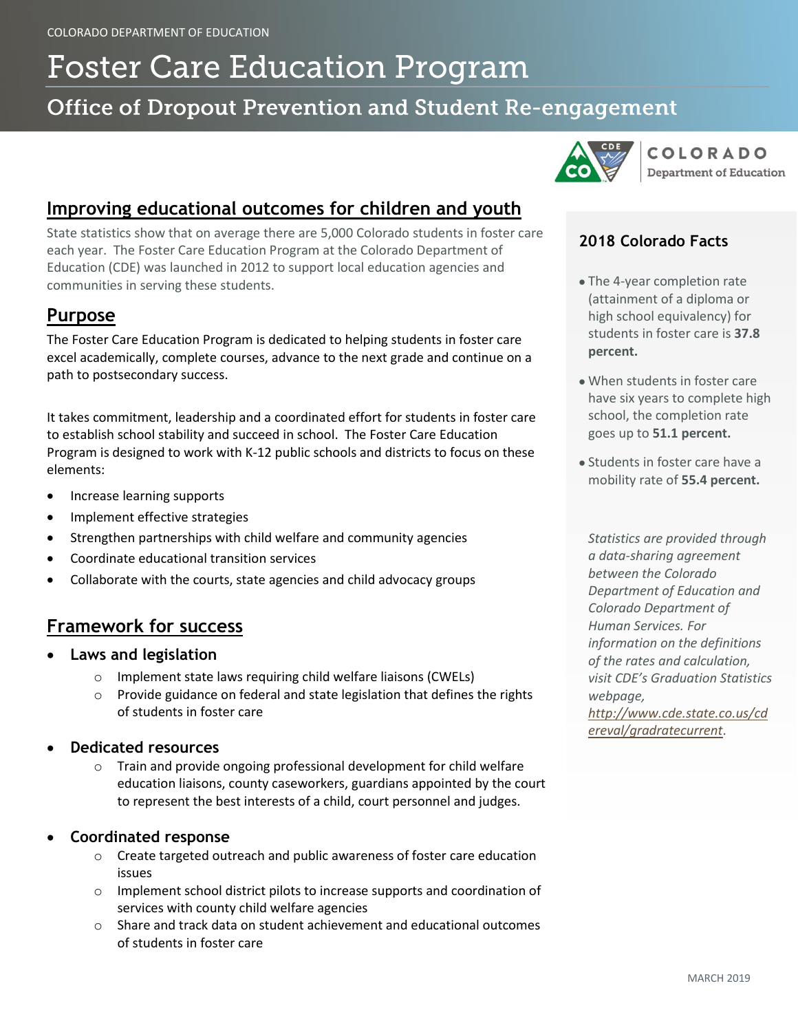# **Foster Care Education Program**

# **Office of Dropout Prevention and Student Re-engagement**



**COLORADO Department of Education** 

# **Improving educational outcomes for children and youth**

State statistics show that on average there are 5,000 Colorado students in foster care each year. The Foster Care Education Program at the Colorado Department of Education (CDE) was launched in 2012 to support local education agencies and communities in serving these students.

## **Purpose**

The Foster Care Education Program is dedicated to helping students in foster care excel academically, complete courses, advance to the next grade and continue on a path to postsecondary success.

It takes commitment, leadership and a coordinated effort for students in foster care to establish school stability and succeed in school. The Foster Care Education Program is designed to work with K-12 public schools and districts to focus on these elements:

- Increase learning supports
- Implement effective strategies
- Strengthen partnerships with child welfare and community agencies
- Coordinate educational transition services
- Collaborate with the courts, state agencies and child advocacy groups

# **Framework for success**

- **Laws and legislation**
	- o Implement state laws requiring child welfare liaisons (CWELs)
	- o Provide guidance on federal and state legislation that defines the rights of students in foster care
- **Dedicated resources** 
	- o Train and provide ongoing professional development for child welfare education liaisons, county caseworkers, guardians appointed by the court to represent the best interests of a child, court personnel and judges.
- **Coordinated response**
	- o Create targeted outreach and public awareness of foster care education issues
	- o Implement school district pilots to increase supports and coordination of services with county child welfare agencies
	- $\circ$  Share and track data on student achievement and educational outcomes of students in foster care

#### **2018 Colorado Facts**

- The 4-year completion rate (attainment of a diploma or high school equivalency) for students in foster care is **37.8 percent.**
- When students in foster care have six years to complete high school, the completion rate goes up to **51.1 percent.**
- Students in foster care have a mobility rate of **55.4 percent.**

*Statistics are provided through a data-sharing agreement between the Colorado Department of Education and Colorado Department of Human Services. For information on the definitions of the rates and calculation, visit CDE's Graduation Statistics webpage, [http://www.cde.state.co.us/cd](http://www.cde.state.co.us/cdereval/gradratecurrent)*

*[ereval/gradratecurrent](http://www.cde.state.co.us/cdereval/gradratecurrent)*.